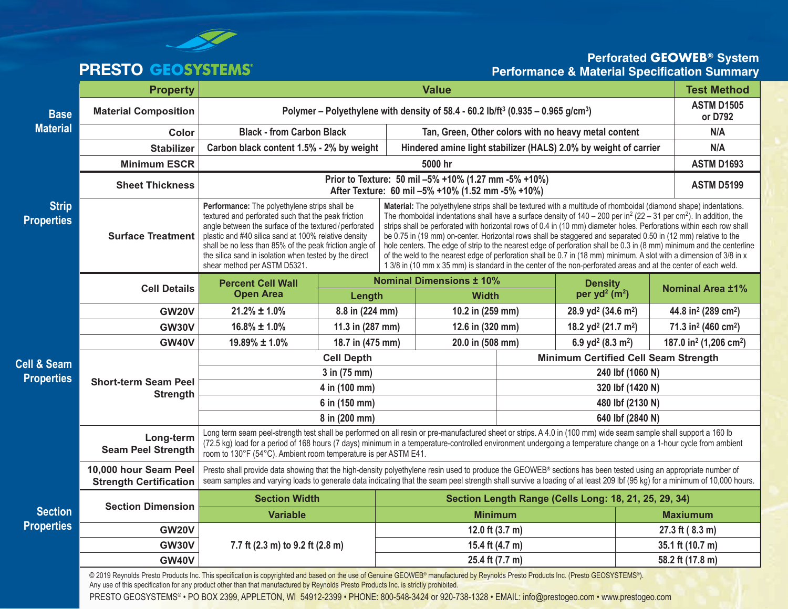

# **PRESTO**

### **Perforated GEOWEB® System Performance & Material Specification Summary**

|                                   | <b>Property</b>                                                                                                                                                                                                                                                                                                                                                                                                                                                              | <b>Value</b>                                                                                                                                                                                                                                                                                                                                                                                            |                 |                                                                                                          |                                                                                                                                                                                                                                                                                                                                                                                                                                                                                                                                                                                                                                                                                                                                                                                                                                                                             |                                             |                                                |                                             | <b>Test Method</b>                             |
|-----------------------------------|------------------------------------------------------------------------------------------------------------------------------------------------------------------------------------------------------------------------------------------------------------------------------------------------------------------------------------------------------------------------------------------------------------------------------------------------------------------------------|---------------------------------------------------------------------------------------------------------------------------------------------------------------------------------------------------------------------------------------------------------------------------------------------------------------------------------------------------------------------------------------------------------|-----------------|----------------------------------------------------------------------------------------------------------|-----------------------------------------------------------------------------------------------------------------------------------------------------------------------------------------------------------------------------------------------------------------------------------------------------------------------------------------------------------------------------------------------------------------------------------------------------------------------------------------------------------------------------------------------------------------------------------------------------------------------------------------------------------------------------------------------------------------------------------------------------------------------------------------------------------------------------------------------------------------------------|---------------------------------------------|------------------------------------------------|---------------------------------------------|------------------------------------------------|
| <b>Base</b><br><b>Material</b>    | <b>Material Composition</b>                                                                                                                                                                                                                                                                                                                                                                                                                                                  |                                                                                                                                                                                                                                                                                                                                                                                                         |                 | Polymer – Polyethylene with density of 58.4 - 60.2 lb/ft <sup>3</sup> (0.935 – 0.965 g/cm <sup>3</sup> ) |                                                                                                                                                                                                                                                                                                                                                                                                                                                                                                                                                                                                                                                                                                                                                                                                                                                                             |                                             |                                                |                                             | <b>ASTM D1505</b><br>or D792                   |
|                                   | Color                                                                                                                                                                                                                                                                                                                                                                                                                                                                        | <b>Black - from Carbon Black</b>                                                                                                                                                                                                                                                                                                                                                                        |                 |                                                                                                          | Tan, Green, Other colors with no heavy metal content                                                                                                                                                                                                                                                                                                                                                                                                                                                                                                                                                                                                                                                                                                                                                                                                                        |                                             |                                                |                                             | N/A                                            |
|                                   | <b>Stabilizer</b>                                                                                                                                                                                                                                                                                                                                                                                                                                                            | Carbon black content 1.5% - 2% by weight                                                                                                                                                                                                                                                                                                                                                                |                 | Hindered amine light stabilizer (HALS) 2.0% by weight of carrier                                         |                                                                                                                                                                                                                                                                                                                                                                                                                                                                                                                                                                                                                                                                                                                                                                                                                                                                             |                                             |                                                |                                             | N/A                                            |
|                                   | <b>Minimum ESCR</b>                                                                                                                                                                                                                                                                                                                                                                                                                                                          | 5000 hr                                                                                                                                                                                                                                                                                                                                                                                                 |                 |                                                                                                          |                                                                                                                                                                                                                                                                                                                                                                                                                                                                                                                                                                                                                                                                                                                                                                                                                                                                             |                                             |                                                |                                             | <b>ASTM D1693</b>                              |
|                                   | <b>Sheet Thickness</b>                                                                                                                                                                                                                                                                                                                                                                                                                                                       | Prior to Texture: 50 mil -5% +10% (1.27 mm -5% +10%)<br>After Texture: 60 mil -5% +10% (1.52 mm -5% +10%)                                                                                                                                                                                                                                                                                               |                 |                                                                                                          |                                                                                                                                                                                                                                                                                                                                                                                                                                                                                                                                                                                                                                                                                                                                                                                                                                                                             |                                             |                                                | <b>ASTM D5199</b>                           |                                                |
| <b>Strip</b><br><b>Properties</b> | <b>Surface Treatment</b>                                                                                                                                                                                                                                                                                                                                                                                                                                                     | Performance: The polyethylene strips shall be<br>textured and perforated such that the peak friction<br>angle between the surface of the textured/perforated<br>plastic and #40 silica sand at 100% relative density<br>shall be no less than 85% of the peak friction angle of<br>the silica sand in isolation when tested by the direct<br>shear method per ASTM D5321.                               |                 |                                                                                                          | Material: The polyethylene strips shall be textured with a multitude of rhomboidal (diamond shape) indentations.<br>The rhomboidal indentations shall have a surface density of $140 - 200$ per in <sup>2</sup> (22 - 31 per cm <sup>2</sup> ). In addition, the<br>strips shall be perforated with horizontal rows of 0.4 in (10 mm) diameter holes. Perforations within each row shall<br>be 0.75 in (19 mm) on-center. Horizontal rows shall be staggered and separated 0.50 in (12 mm) relative to the<br>hole centers. The edge of strip to the nearest edge of perforation shall be 0.3 in (8 mm) minimum and the centerline<br>of the weld to the nearest edge of perforation shall be 0.7 in (18 mm) minimum. A slot with a dimension of 3/8 in x<br>1 3/8 in (10 mm x 35 mm) is standard in the center of the non-perforated areas and at the center of each weld. |                                             |                                                |                                             |                                                |
|                                   | <b>Cell Details</b>                                                                                                                                                                                                                                                                                                                                                                                                                                                          | <b>Percent Cell Wall</b><br><b>Open Area</b>                                                                                                                                                                                                                                                                                                                                                            | Length          |                                                                                                          | <b>Nominal Dimensions ± 10%</b><br><b>Width</b>                                                                                                                                                                                                                                                                                                                                                                                                                                                                                                                                                                                                                                                                                                                                                                                                                             |                                             | <b>Density</b><br>per yd <sup>2</sup> ( $m2$ ) | <b>Nominal Area ±1%</b>                     |                                                |
|                                   | <b>GW20V</b>                                                                                                                                                                                                                                                                                                                                                                                                                                                                 | $21.2\% \pm 1.0\%$                                                                                                                                                                                                                                                                                                                                                                                      | 8.8 in (224 mm) |                                                                                                          |                                                                                                                                                                                                                                                                                                                                                                                                                                                                                                                                                                                                                                                                                                                                                                                                                                                                             | 10.2 in (259 mm)                            |                                                | 44.8 in <sup>2</sup> (289 cm <sup>2</sup> ) |                                                |
|                                   | <b>GW30V</b>                                                                                                                                                                                                                                                                                                                                                                                                                                                                 | $16.8\% \pm 1.0\%$<br>11.3 in (287 mm)                                                                                                                                                                                                                                                                                                                                                                  |                 |                                                                                                          | 12.6 in (320 mm)                                                                                                                                                                                                                                                                                                                                                                                                                                                                                                                                                                                                                                                                                                                                                                                                                                                            |                                             | 18.2 yd <sup>2</sup> (21.7 m <sup>2</sup> )    | 71.3 in <sup>2</sup> (460 cm <sup>2</sup> ) |                                                |
|                                   | <b>GW40V</b>                                                                                                                                                                                                                                                                                                                                                                                                                                                                 | 19.89% ± 1.0%<br>18.7 in (475 mm)                                                                                                                                                                                                                                                                                                                                                                       |                 |                                                                                                          | 20.0 in (508 mm)                                                                                                                                                                                                                                                                                                                                                                                                                                                                                                                                                                                                                                                                                                                                                                                                                                                            |                                             | 6.9 yd <sup>2</sup> (8.3 m <sup>2</sup> )      |                                             | 187.0 in <sup>2</sup> (1,206 cm <sup>2</sup> ) |
| Cell & Seam                       | <b>Short-term Seam Peel</b><br><b>Strength</b>                                                                                                                                                                                                                                                                                                                                                                                                                               | <b>Cell Depth</b>                                                                                                                                                                                                                                                                                                                                                                                       |                 |                                                                                                          |                                                                                                                                                                                                                                                                                                                                                                                                                                                                                                                                                                                                                                                                                                                                                                                                                                                                             | <b>Minimum Certified Cell Seam Strength</b> |                                                |                                             |                                                |
| <b>Properties</b>                 |                                                                                                                                                                                                                                                                                                                                                                                                                                                                              | 3 in (75 mm)                                                                                                                                                                                                                                                                                                                                                                                            |                 |                                                                                                          |                                                                                                                                                                                                                                                                                                                                                                                                                                                                                                                                                                                                                                                                                                                                                                                                                                                                             | 240 lbf (1060 N)                            |                                                |                                             |                                                |
|                                   |                                                                                                                                                                                                                                                                                                                                                                                                                                                                              | 4 in (100 mm)                                                                                                                                                                                                                                                                                                                                                                                           |                 |                                                                                                          |                                                                                                                                                                                                                                                                                                                                                                                                                                                                                                                                                                                                                                                                                                                                                                                                                                                                             | 320 lbf (1420 N)                            |                                                |                                             |                                                |
|                                   |                                                                                                                                                                                                                                                                                                                                                                                                                                                                              | 6 in (150 mm)                                                                                                                                                                                                                                                                                                                                                                                           |                 |                                                                                                          |                                                                                                                                                                                                                                                                                                                                                                                                                                                                                                                                                                                                                                                                                                                                                                                                                                                                             | 480 lbf (2130 N)                            |                                                |                                             |                                                |
|                                   |                                                                                                                                                                                                                                                                                                                                                                                                                                                                              | 8 in (200 mm)                                                                                                                                                                                                                                                                                                                                                                                           |                 |                                                                                                          |                                                                                                                                                                                                                                                                                                                                                                                                                                                                                                                                                                                                                                                                                                                                                                                                                                                                             |                                             | 640 lbf (2840 N)                               |                                             |                                                |
|                                   | Long-term<br><b>Seam Peel Strength</b>                                                                                                                                                                                                                                                                                                                                                                                                                                       | Long term seam peel-strength test shall be performed on all resin or pre-manufactured sheet or strips. A 4.0 in (100 mm) wide seam sample shall support a 160 lb<br>(72.5 kg) load for a period of 168 hours (7 days) minimum in a temperature-controlled environment undergoing a temperature change on a 1-hour cycle from ambient<br>room to 130°F (54°C). Ambient room temperature is per ASTM E41. |                 |                                                                                                          |                                                                                                                                                                                                                                                                                                                                                                                                                                                                                                                                                                                                                                                                                                                                                                                                                                                                             |                                             |                                                |                                             |                                                |
|                                   | 10,000 hour Seam Peel<br><b>Strength Certification</b>                                                                                                                                                                                                                                                                                                                                                                                                                       | Presto shall provide data showing that the high-density polyethylene resin used to produce the GEOWEB® sections has been tested using an appropriate number of<br>seam samples and varying loads to generate data indicating that the seam peel strength shall survive a loading of at least 209 lbf (95 kg) for a minimum of 10,000 hours.                                                             |                 |                                                                                                          |                                                                                                                                                                                                                                                                                                                                                                                                                                                                                                                                                                                                                                                                                                                                                                                                                                                                             |                                             |                                                |                                             |                                                |
|                                   | <b>Section Dimension</b>                                                                                                                                                                                                                                                                                                                                                                                                                                                     | <b>Section Width</b>                                                                                                                                                                                                                                                                                                                                                                                    |                 |                                                                                                          | Section Length Range (Cells Long: 18, 21, 25, 29, 34)                                                                                                                                                                                                                                                                                                                                                                                                                                                                                                                                                                                                                                                                                                                                                                                                                       |                                             |                                                |                                             |                                                |
| <b>Section</b>                    |                                                                                                                                                                                                                                                                                                                                                                                                                                                                              | <b>Variable</b>                                                                                                                                                                                                                                                                                                                                                                                         |                 |                                                                                                          | <b>Minimum</b>                                                                                                                                                                                                                                                                                                                                                                                                                                                                                                                                                                                                                                                                                                                                                                                                                                                              |                                             |                                                |                                             | <b>Maxiumum</b>                                |
| <b>Properties</b>                 | <b>GW20V</b>                                                                                                                                                                                                                                                                                                                                                                                                                                                                 |                                                                                                                                                                                                                                                                                                                                                                                                         |                 | 12.0 ft $(3.7 m)$                                                                                        |                                                                                                                                                                                                                                                                                                                                                                                                                                                                                                                                                                                                                                                                                                                                                                                                                                                                             |                                             |                                                | 27.3 ft (8.3 m)                             |                                                |
|                                   | <b>GW30V</b>                                                                                                                                                                                                                                                                                                                                                                                                                                                                 | 7.7 ft (2.3 m) to 9.2 ft (2.8 m)                                                                                                                                                                                                                                                                                                                                                                        | 15.4 ft (4.7 m) |                                                                                                          |                                                                                                                                                                                                                                                                                                                                                                                                                                                                                                                                                                                                                                                                                                                                                                                                                                                                             |                                             | 35.1 ft (10.7 m)                               |                                             |                                                |
|                                   | <b>GW40V</b>                                                                                                                                                                                                                                                                                                                                                                                                                                                                 |                                                                                                                                                                                                                                                                                                                                                                                                         | 25.4 ft (7.7 m) |                                                                                                          |                                                                                                                                                                                                                                                                                                                                                                                                                                                                                                                                                                                                                                                                                                                                                                                                                                                                             |                                             | 58.2 ft (17.8 m)                               |                                             |                                                |
|                                   | @ 2019 Reynolds Presto Products Inc. This specification is copyrighted and based on the use of Genuine GEOWEB® manufactured by Reynolds Presto Products Inc. (Presto GEOSYSTEMS®).<br>Any use of this specification for any product other than that manufactured by Reynolds Presto Products Inc. is strictly prohibited.<br>PRESTO GEOSYSTEMS® · PO BOX 2399, APPLETON, WI 54912-2399 · PHONE: 800-548-3424 or 920-738-1328 · EMAIL: info@prestogeo.com · www.prestogeo.com |                                                                                                                                                                                                                                                                                                                                                                                                         |                 |                                                                                                          |                                                                                                                                                                                                                                                                                                                                                                                                                                                                                                                                                                                                                                                                                                                                                                                                                                                                             |                                             |                                                |                                             |                                                |